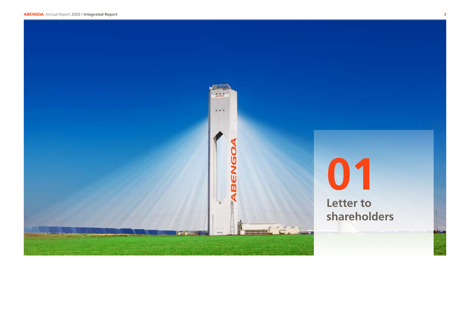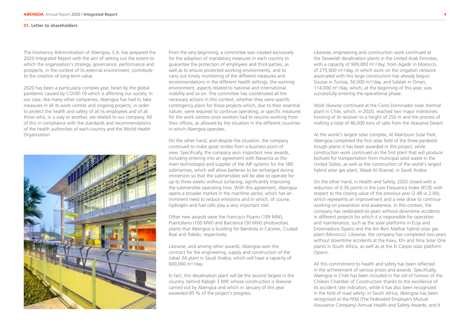## **01. Letter to shareholders**

The Insolvency Administration of Abengoa, S.A. has prepared the 2020 Integrated Report with the aim of setting out the extent to which the organisation's strategy, governance, performance and prospects, in the context of its external environment, contribute to the creation of long-term value.

2020 has been a particularly complex year, beset by the global pandemic caused by COVID-19 which is affecting our society. In our case, like many other companies, Abengoa has had to take measures in all its work centres and ongoing projects, in order to protect the health and safety of all its employees and of all those who, in a way or another, are related to our company. All of this in compliance with the standards and recommendations of the health authorities of each country and the World Health Organization.



From the very beginning, a committee was created exclusively for the adoption of mandatory measures in each country to guarantee the protection of employees and third parties, as well as to ensure protected working environments, and to carry out timely monitoring of the different measures and recommendations in the different health settings, the working environment, aspects related to national and international mobility and so on. The committee has coordinated all the necessary actions in this context, whether they were specific contingency plans for those projects which, due to their essential nature, were required to continue operating; or specific measures for the work centres once workers had to resume working from their offices, as allowed by the situation in the different countries in which Abengoa operates.

On the other hand, and despite the situation, the company continued to make great strides from a business point of view. Specifically, the company won important new awards, including entering into an agreement with Navantia as the main technologist and supplier of the AIP systems for the S80 submarines, which will allow batteries to be recharged during immersion so that the submersibles will be able to operate for up to three weeks without surfacing, significantly improving the submersible operating time. With this agreement, Abengoa opens a broader market in the maritime sector, which has an imminent need to reduce emissions and in which, of course, hydrogen and fuel cells play a very important role.

Other new awards were the Francisco Pizarro (189 MW), Puertollano (100 MW) and Barcience (50 MW) photovoltaic plants that Abengoa is building for Iberdrola in Cáceres, Ciudad Real and Toledo, respectively.

Likewise, and among other awards, Abengoa won the contract for the engineering, supply and construction of the Jubail 3A plant in Saudi Arabia, which will have a capacity of 600,000 m3 /day.

In fact, this desalination plant will be the second largest in the country, behind Rabigh 3 IWP, whose construction is likewise carried out by Abengoa and which in January of this year exceeded 85 % of the project's progress.

Likewise, engineering and construction work continued at the Taweelah desalination plants in the United Arab Emirates, with a capacity of 909,000 m<sup>3</sup>/day; from Agadir in Morocco, of 275,000 m<sup>3</sup>/day, in which work on the irrigation network associated with this large construction has already begun; Sousse in Tunisia, 50,000 m<sup>3</sup>/day, and Salalah in Oman, 114,000 m<sup>3</sup>/day, which, at the beginning of this year, was successfully entering the operational phase.

Work likewise continued at the Cerro Dominador solar thermal plant in Chile, which, in 2020, reached two major milestones: hoisting of its receiver to a height of 250 m and the process of melting a total of 46,000 tons of salts from the Atacama Desert.

At the world's largest solar complex, Al Maktoum Solar Park, Abengoa completed the first solar field of the three parabolic trough plants it has been awarded in this project, while construction work continued on the first plant that will produce biofuels for transportation from municipal solid waste in the United States, as well as the construction of the world's largest hybrid solar gas plant, Waad Al-Shamal, in Saudi Arabia.

On the other hand, in Health and Safety, 2020 closed with a reduction of 0.36 points in the Low Frequency Index (IFCB) with respect to the closing value of the previous year (2.48 vs 2.84), which represents an improvement and a new drive to continue working on prevention and awareness. In this context, the company has celebrated six years without downtime accidents in different projects for which it is responsible for operation and maintenance, such as the solar platforms in Écija and Extremadura (Spain) and the Ain Beni Mathar hybrid solar gas plant (Morocco). Likewise, the company has completed two years without downtime accidents at the Kaxu, Khi and Xina Solar One plants in South Africa, as well as at the El Carpio solar platform (Spain).

All this commitment to health and safety has been reflected in the achievement of various prizes and awards. Specifically, Abengoa in Chile has been included in the roll of honour of the Chilean Chamber of Construction thanks to the excellence of its accident rate indicators, while it has also been recognized in the field of road safety; in South Africa, Abengoa has been recognised at the FEM (The Federated Employers Mutual Assurance Company) Annual Health and Safety Awards; and it